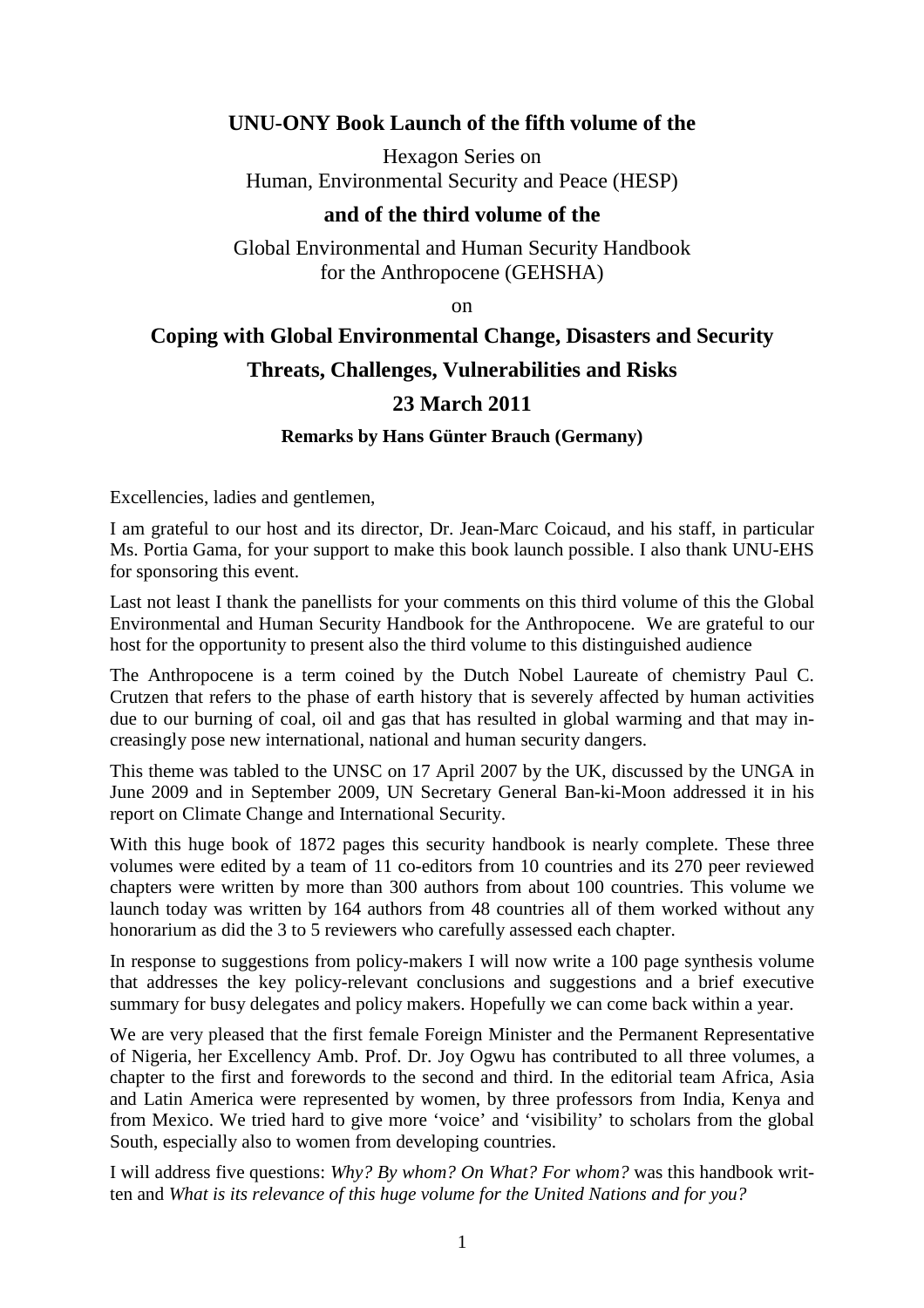# **UNU-ONY Book Launch of the fifth volume of the**

Hexagon Series on Human, Environmental Security and Peace (HESP)

## **and of the third volume of the**

Global Environmental and Human Security Handbook for the Anthropocene (GEHSHA)

on

## **Coping with Global Environmental Change, Disasters and Security**

#### **Threats, Challenges, Vulnerabilities and Risks**

## **23 March 2011**

#### **Remarks by Hans Günter Brauch (Germany)**

Excellencies, ladies and gentlemen,

I am grateful to our host and its director, Dr. Jean-Marc Coicaud, and his staff, in particular Ms. Portia Gama, for your support to make this book launch possible. I also thank UNU-EHS for sponsoring this event.

Last not least I thank the panellists for your comments on this third volume of this the Global Environmental and Human Security Handbook for the Anthropocene. We are grateful to our host for the opportunity to present also the third volume to this distinguished audience

The Anthropocene is a term coined by the Dutch Nobel Laureate of chemistry Paul C. Crutzen that refers to the phase of earth history that is severely affected by human activities due to our burning of coal, oil and gas that has resulted in global warming and that may increasingly pose new international, national and human security dangers.

This theme was tabled to the UNSC on 17 April 2007 by the UK, discussed by the UNGA in June 2009 and in September 2009, UN Secretary General Ban-ki-Moon addressed it in his report on Climate Change and International Security.

With this huge book of 1872 pages this security handbook is nearly complete. These three volumes were edited by a team of 11 co-editors from 10 countries and its 270 peer reviewed chapters were written by more than 300 authors from about 100 countries. This volume we launch today was written by 164 authors from 48 countries all of them worked without any honorarium as did the 3 to 5 reviewers who carefully assessed each chapter.

In response to suggestions from policy-makers I will now write a 100 page synthesis volume that addresses the key policy-relevant conclusions and suggestions and a brief executive summary for busy delegates and policy makers. Hopefully we can come back within a year.

We are very pleased that the first female Foreign Minister and the Permanent Representative of Nigeria, her Excellency Amb. Prof. Dr. Joy Ogwu has contributed to all three volumes, a chapter to the first and forewords to the second and third. In the editorial team Africa, Asia and Latin America were represented by women, by three professors from India, Kenya and from Mexico. We tried hard to give more 'voice' and 'visibility' to scholars from the global South, especially also to women from developing countries.

I will address five questions: *Why? By whom? On What? For whom?* was this handbook written and *What is its relevance of this huge volume for the United Nations and for you?*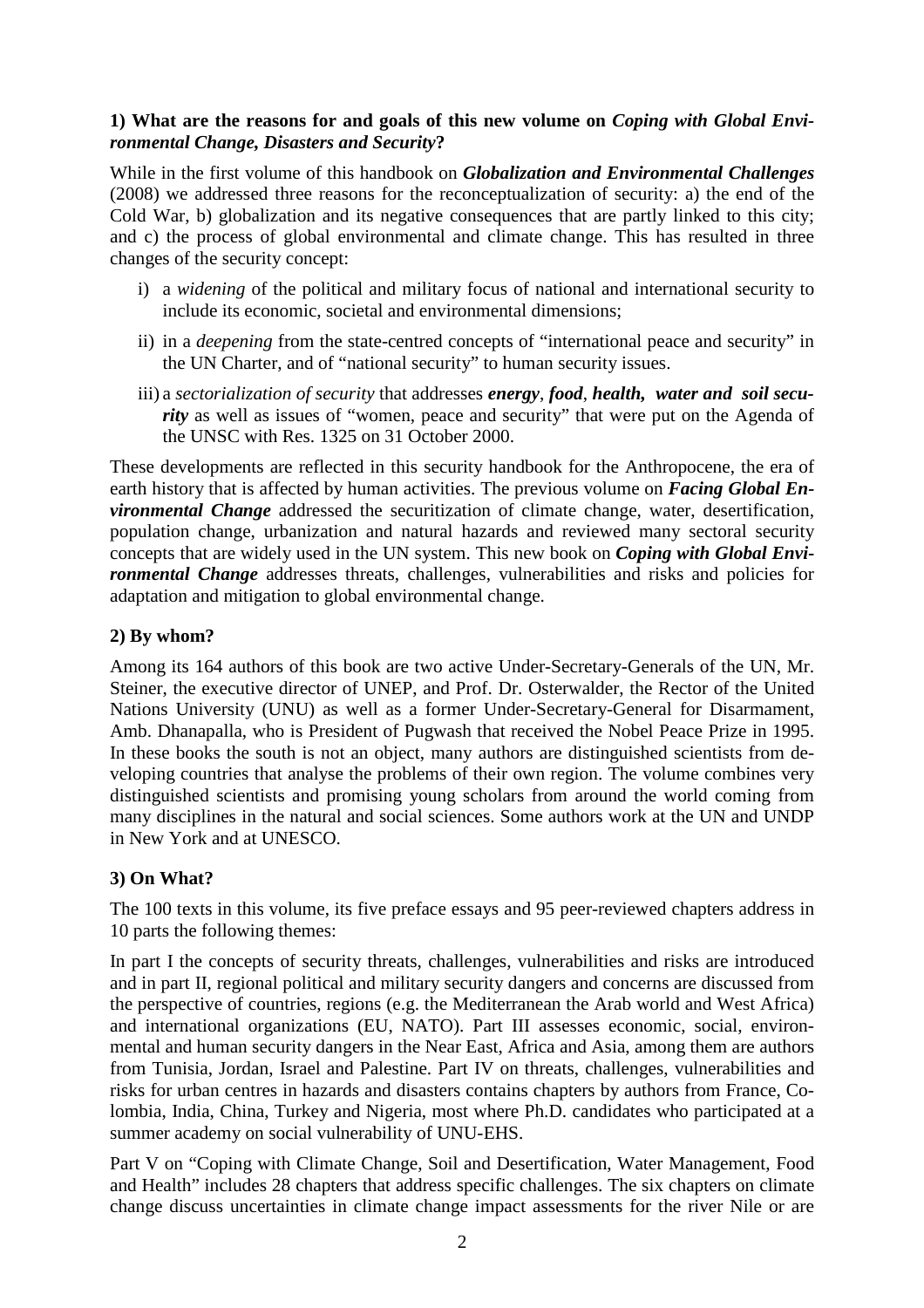## **1) What are the reasons for and goals of this new volume on** *Coping with Global Environmental Change, Disasters and Security***?**

While in the first volume of this handbook on *Globalization and Environmental Challenges* (2008) we addressed three reasons for the reconceptualization of security: a) the end of the Cold War, b) globalization and its negative consequences that are partly linked to this city; and c) the process of global environmental and climate change. This has resulted in three changes of the security concept:

- i) a *widening* of the political and military focus of national and international security to include its economic, societal and environmental dimensions;
- ii) in a *deepening* from the state-centred concepts of "international peace and security" in the UN Charter, and of "national security" to human security issues.
- iii) a *sectorialization of security* that addresses *energy*, *food*, *health, water and soil security* as well as issues of "women, peace and security" that were put on the Agenda of the UNSC with Res. 1325 on 31 October 2000.

These developments are reflected in this security handbook for the Anthropocene, the era of earth history that is affected by human activities. The previous volume on *Facing Global Environmental Change* addressed the securitization of climate change, water, desertification, population change, urbanization and natural hazards and reviewed many sectoral security concepts that are widely used in the UN system. This new book on *Coping with Global Environmental Change* addresses threats, challenges, vulnerabilities and risks and policies for adaptation and mitigation to global environmental change.

# **2) By whom?**

Among its 164 authors of this book are two active Under-Secretary-Generals of the UN, Mr. Steiner, the executive director of UNEP, and Prof. Dr. Osterwalder, the Rector of the United Nations University (UNU) as well as a former Under-Secretary-General for Disarmament, Amb. Dhanapalla, who is President of Pugwash that received the Nobel Peace Prize in 1995. In these books the south is not an object, many authors are distinguished scientists from developing countries that analyse the problems of their own region. The volume combines very distinguished scientists and promising young scholars from around the world coming from many disciplines in the natural and social sciences. Some authors work at the UN and UNDP in New York and at UNESCO.

## **3) On What?**

The 100 texts in this volume, its five preface essays and 95 peer-reviewed chapters address in 10 parts the following themes:

In part I the concepts of security threats, challenges, vulnerabilities and risks are introduced and in part II, regional political and military security dangers and concerns are discussed from the perspective of countries, regions (e.g. the Mediterranean the Arab world and West Africa) and international organizations (EU, NATO). Part III assesses economic, social, environmental and human security dangers in the Near East, Africa and Asia, among them are authors from Tunisia, Jordan, Israel and Palestine. Part IV on threats, challenges, vulnerabilities and risks for urban centres in hazards and disasters contains chapters by authors from France, Colombia, India, China, Turkey and Nigeria, most where Ph.D. candidates who participated at a summer academy on social vulnerability of UNU-EHS.

Part V on "Coping with Climate Change, Soil and Desertification, Water Management, Food and Health" includes 28 chapters that address specific challenges. The six chapters on climate change discuss uncertainties in climate change impact assessments for the river Nile or are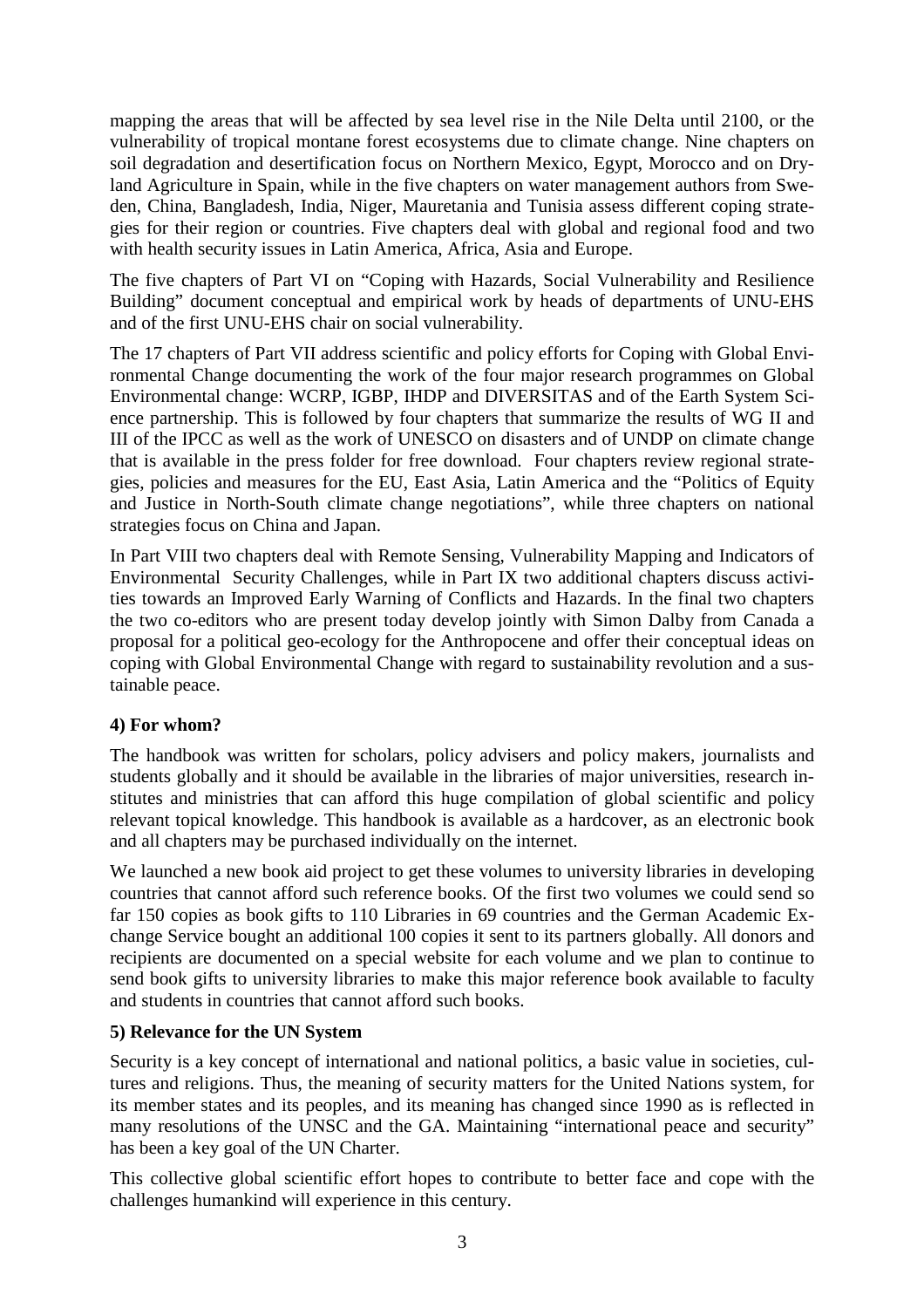mapping the areas that will be affected by sea level rise in the Nile Delta until 2100, or the vulnerability of tropical montane forest ecosystems due to climate change. Nine chapters on soil degradation and desertification focus on Northern Mexico, Egypt, Morocco and on Dryland Agriculture in Spain, while in the five chapters on water management authors from Sweden, China, Bangladesh, India, Niger, Mauretania and Tunisia assess different coping strategies for their region or countries. Five chapters deal with global and regional food and two with health security issues in Latin America, Africa, Asia and Europe.

The five chapters of Part VI on "Coping with Hazards, Social Vulnerability and Resilience Building" document conceptual and empirical work by heads of departments of UNU-EHS and of the first UNU-EHS chair on social vulnerability.

The 17 chapters of Part VII address scientific and policy efforts for Coping with Global Environmental Change documenting the work of the four major research programmes on Global Environmental change: WCRP, IGBP, IHDP and DIVERSITAS and of the Earth System Science partnership. This is followed by four chapters that summarize the results of WG II and III of the IPCC as well as the work of UNESCO on disasters and of UNDP on climate change that is available in the press folder for free download. Four chapters review regional strategies, policies and measures for the EU, East Asia, Latin America and the "Politics of Equity and Justice in North-South climate change negotiations", while three chapters on national strategies focus on China and Japan.

In Part VIII two chapters deal with Remote Sensing, Vulnerability Mapping and Indicators of Environmental Security Challenges, while in Part IX two additional chapters discuss activities towards an Improved Early Warning of Conflicts and Hazards. In the final two chapters the two co-editors who are present today develop jointly with Simon Dalby from Canada a proposal for a political geo-ecology for the Anthropocene and offer their conceptual ideas on coping with Global Environmental Change with regard to sustainability revolution and a sustainable peace.

## **4) For whom?**

The handbook was written for scholars, policy advisers and policy makers, journalists and students globally and it should be available in the libraries of major universities, research institutes and ministries that can afford this huge compilation of global scientific and policy relevant topical knowledge. This handbook is available as a hardcover, as an electronic book and all chapters may be purchased individually on the internet.

We launched a new book aid project to get these volumes to university libraries in developing countries that cannot afford such reference books. Of the first two volumes we could send so far 150 copies as book gifts to 110 Libraries in 69 countries and the German Academic Exchange Service bought an additional 100 copies it sent to its partners globally. All donors and recipients are documented on a special website for each volume and we plan to continue to send book gifts to university libraries to make this major reference book available to faculty and students in countries that cannot afford such books.

#### **5) Relevance for the UN System**

Security is a key concept of international and national politics, a basic value in societies, cultures and religions. Thus, the meaning of security matters for the United Nations system, for its member states and its peoples, and its meaning has changed since 1990 as is reflected in many resolutions of the UNSC and the GA. Maintaining "international peace and security" has been a key goal of the UN Charter.

This collective global scientific effort hopes to contribute to better face and cope with the challenges humankind will experience in this century.